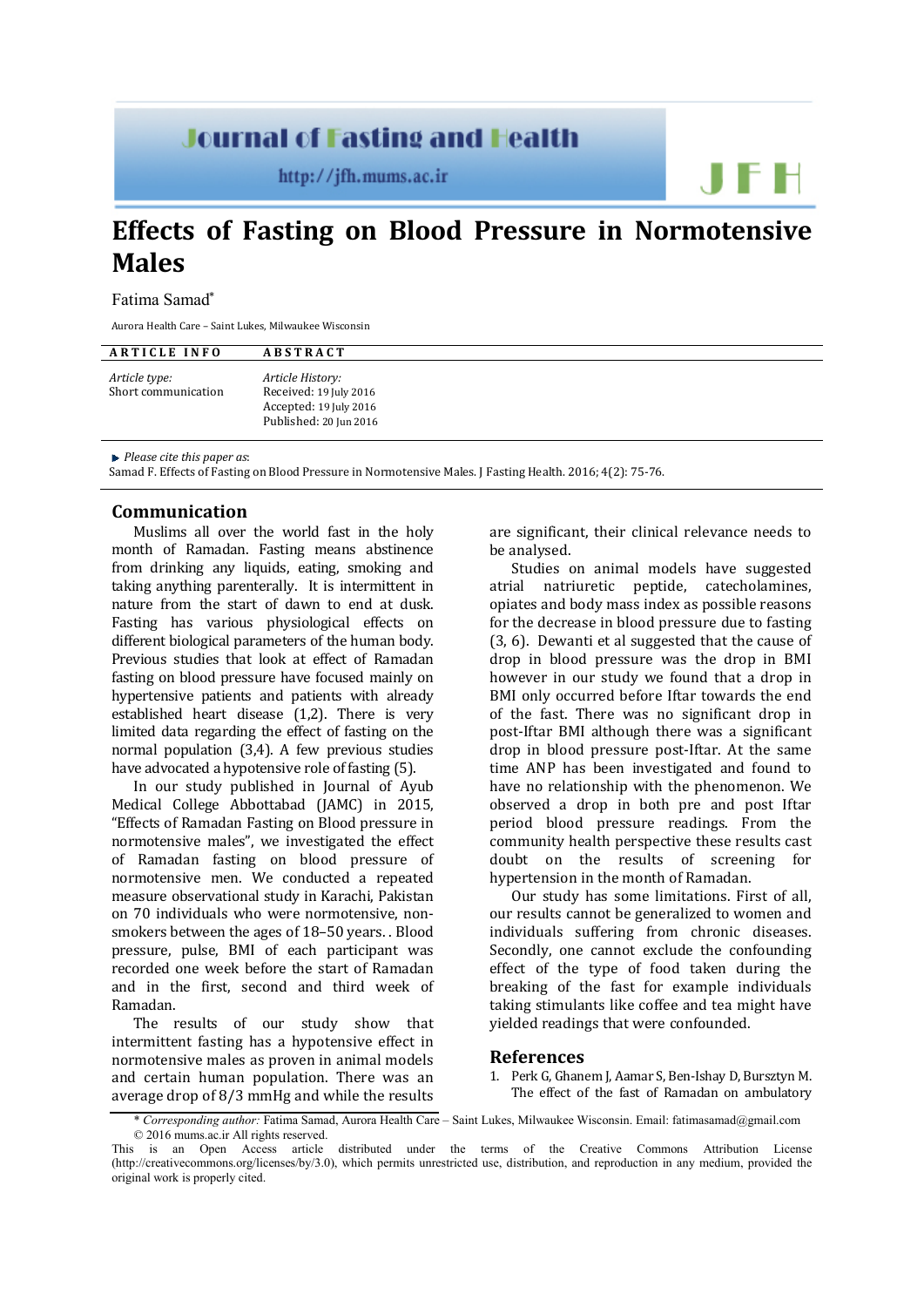## **Journal of Fasting and Health**

 $http://jfh.mums.ac.in$ 

# **Effects of Fasting on Blood Pressure in Normotensive Males**

#### Fatima Samad\*

Aurora Health Care – Saint Lukes, Milwaukee Wisconsin

| <b>ARTICLE INFO</b>                  | <b>ABSTRACT</b>                                                                                |
|--------------------------------------|------------------------------------------------------------------------------------------------|
| Article type:<br>Short communication | Article History:<br>Received: 19 July 2016<br>Accepted: 19 July 2016<br>Published: 20 Jun 2016 |

*Please cite this paper as*:

Samad F. Effects of Fasting on Blood Pressure in Normotensive Males. J Fasting Health. 2016; 4(2): 75-76.

### **Communication**

Muslims all over the world fast in the holy month of Ramadan. Fasting means abstinence from drinking any liquids, eating, smoking and taking anything parenterally. It is intermittent in nature from the start of dawn to end at dusk. Fasting has various physiological effects on different biological parameters of the human body. Previous studies that look at effect of Ramadan fasting on blood pressure have focused mainly on hypertensive patients and patients with already established heart disease (1,2). There is very limited data regarding the effect of fasting on the normal population (3,4). A few previous studies have advocated a hypotensive role of fasting (5).

In our study published in Journal of Ayub Medical College Abbottabad (JAMC) in 2015, "Effects of Ramadan Fasting on Blood pressure in normotensive males", we investigated the effect of Ramadan fasting on blood pressure of normotensive men. We conducted a repeated measure observational study in Karachi, Pakistan on 70 individuals who were normotensive, nonsmokers between the ages of 18–50 years. . Blood pressure, pulse, BMI of each participant was recorded one week before the start of Ramadan and in the first, second and third week of Ramadan.

The results of our study show that intermittent fasting has a hypotensive effect in normotensive males as proven in animal models and certain human population. There was an average drop of 8/3 mmHg and while the results are significant, their clinical relevance needs to be analysed.

Studies on animal models have suggested<br>atrial natriuretic peptide. catecholamines. natriuretic peptide, catecholamines, opiates and body mass index as possible reasons for the decrease in blood pressure due to fasting (3, 6). Dewanti et al suggested that the cause of drop in blood pressure was the drop in BMI however in our study we found that a drop in BMI only occurred before Iftar towards the end of the fast. There was no significant drop in post-Iftar BMI although there was a significant drop in blood pressure post-Iftar. At the same time ANP has been investigated and found to have no relationship with the phenomenon. We observed a drop in both pre and post Iftar period blood pressure readings. From the community health perspective these results cast<br>doubt on the results of screening for doubt on the results of screening hypertension in the month of Ramadan.

Our study has some limitations. First of all, our results cannot be generalized to women and individuals suffering from chronic diseases. Secondly, one cannot exclude the confounding effect of the type of food taken during the breaking of the fast for example individuals taking stimulants like coffee and tea might have yielded readings that were confounded.

#### **References**

1. Perk G, Ghanem J, Aamar S, Ben-Ishay D, Bursztyn M. The effect of the fast of Ramadan on ambulatory

<sup>\*</sup> *Corresponding author:* Fatima Samad, Aurora Health Care – Saint Lukes, Milwaukee Wisconsin. Emai[l: fatimasamad@gmail.com](mailto:fatimasamad@gmail.com) © 2016 mums.ac.ir All rights reserved.

This is an Open Access article distributed under the terms of the Creative Commons Attribution License (http://creativecommons.org/licenses/by/3.0), which permits unrestricted use, distribution, and reproduction in any medium, provided the original work is properly cited.